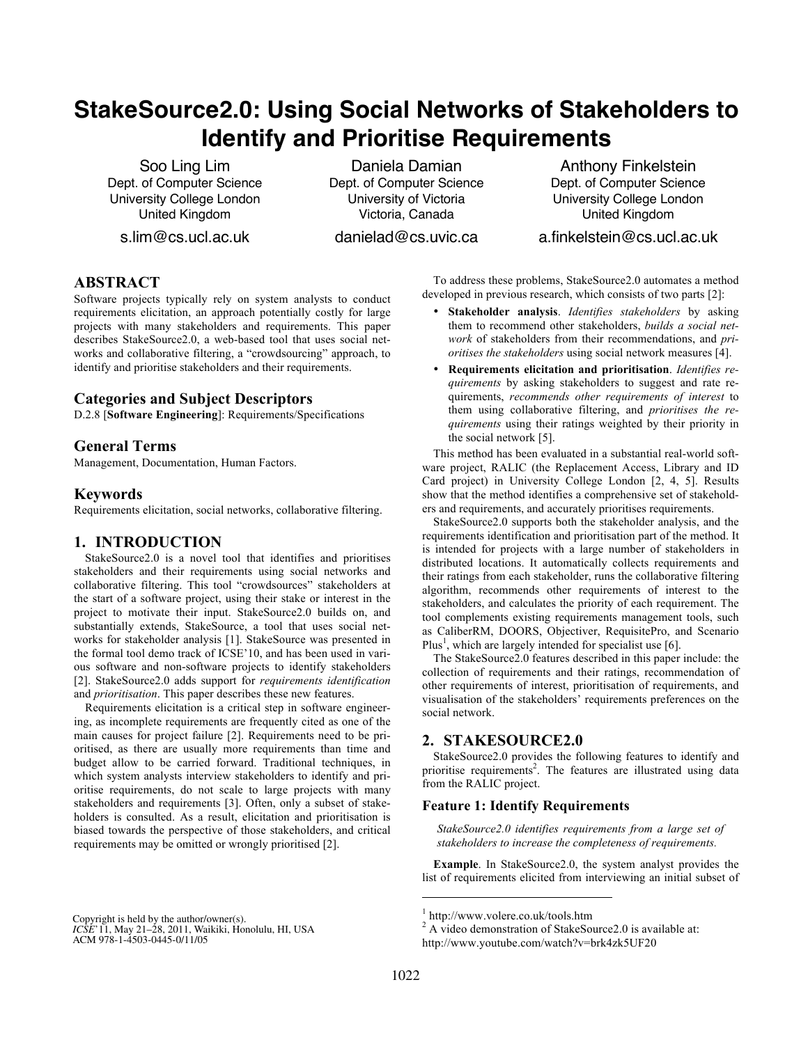# **StakeSource2.0: Using Social Networks of Stakeholders to Identify and Prioritise Requirements**

Soo Ling Lim Dept. of Computer Science University College London United Kingdom

s.lim@cs.ucl.ac.uk

Daniela Damian Dept. of Computer Science University of Victoria Victoria, Canada

danielad@cs.uvic.ca

Anthony Finkelstein Dept. of Computer Science University College London United Kingdom

## a.finkelstein@cs.ucl.ac.uk

# **ABSTRACT**

Software projects typically rely on system analysts to conduct requirements elicitation, an approach potentially costly for large projects with many stakeholders and requirements. This paper describes StakeSource2.0, a web-based tool that uses social networks and collaborative filtering, a "crowdsourcing" approach, to identify and prioritise stakeholders and their requirements.

## **Categories and Subject Descriptors**

D.2.8 [**Software Engineering**]: Requirements/Specifications

# **General Terms**

Management, Documentation, Human Factors.

## **Keywords**

Requirements elicitation, social networks, collaborative filtering.

# **1. INTRODUCTION**

StakeSource2.0 is a novel tool that identifies and prioritises stakeholders and their requirements using social networks and collaborative filtering. This tool "crowdsources" stakeholders at the start of a software project, using their stake or interest in the project to motivate their input. StakeSource2.0 builds on, and substantially extends, StakeSource, a tool that uses social networks for stakeholder analysis [1]. StakeSource was presented in the formal tool demo track of ICSE'10, and has been used in various software and non-software projects to identify stakeholders [2]. StakeSource2.0 adds support for *requirements identification* and *prioritisation*. This paper describes these new features.

Requirements elicitation is a critical step in software engineering, as incomplete requirements are frequently cited as one of the main causes for project failure [2]. Requirements need to be prioritised, as there are usually more requirements than time and budget allow to be carried forward. Traditional techniques, in which system analysts interview stakeholders to identify and prioritise requirements, do not scale to large projects with many stakeholders and requirements [3]. Often, only a subset of stakeholders is consulted. As a result, elicitation and prioritisation is biased towards the perspective of those stakeholders, and critical requirements may be omitted or wrongly prioritised [2].

*ICSE'11*, May 21–28, 2011, Waikiki, Honolulu, HI, USA. *ICSE*'11, May 21–28, 2011, Waikiki, Honolulu, HI, USA ACM 978-1-4503-0445-0/11/05. ACM 978-1-4503-0445-0/11/05 Copyright is held by the author/owner(s).

To address these problems, StakeSource2.0 automates a method developed in previous research, which consists of two parts [2]:

- **Stakeholder analysis**. *Identifies stakeholders* by asking them to recommend other stakeholders, *builds a social network* of stakeholders from their recommendations, and *prioritises the stakeholders* using social network measures [4].
- **Requirements elicitation and prioritisation**. *Identifies requirements* by asking stakeholders to suggest and rate requirements, *recommends other requirements of interest* to them using collaborative filtering, and *prioritises the requirements* using their ratings weighted by their priority in the social network [5].

This method has been evaluated in a substantial real-world software project, RALIC (the Replacement Access, Library and ID Card project) in University College London [2, 4, 5]. Results show that the method identifies a comprehensive set of stakeholders and requirements, and accurately prioritises requirements.

StakeSource2.0 supports both the stakeholder analysis, and the requirements identification and prioritisation part of the method. It is intended for projects with a large number of stakeholders in distributed locations. It automatically collects requirements and their ratings from each stakeholder, runs the collaborative filtering algorithm, recommends other requirements of interest to the stakeholders, and calculates the priority of each requirement. The tool complements existing requirements management tools, such as CaliberRM, DOORS, Objectiver, RequisitePro, and Scenario Plus<sup>1</sup>, which are largely intended for specialist use [6].

The StakeSource2.0 features described in this paper include: the collection of requirements and their ratings, recommendation of other requirements of interest, prioritisation of requirements, and visualisation of the stakeholders' requirements preferences on the social network.

# **2. STAKESOURCE2.0**

StakeSource2.0 provides the following features to identify and prioritise requirements<sup>2</sup>. The features are illustrated using data from the RALIC project.

#### **Feature 1: Identify Requirements**

*StakeSource2.0 identifies requirements from a large set of stakeholders to increase the completeness of requirements.*

**Example**. In StakeSource2.0, the system analyst provides the list of requirements elicited from interviewing an initial subset of

j

<sup>&</sup>lt;sup>1</sup> http://www.volere.co.uk/tools.htm  $2^2$  A video demonstration of StakeSource2.0 is available at: http://www.youtube.com/watch?v=brk4zk5UF20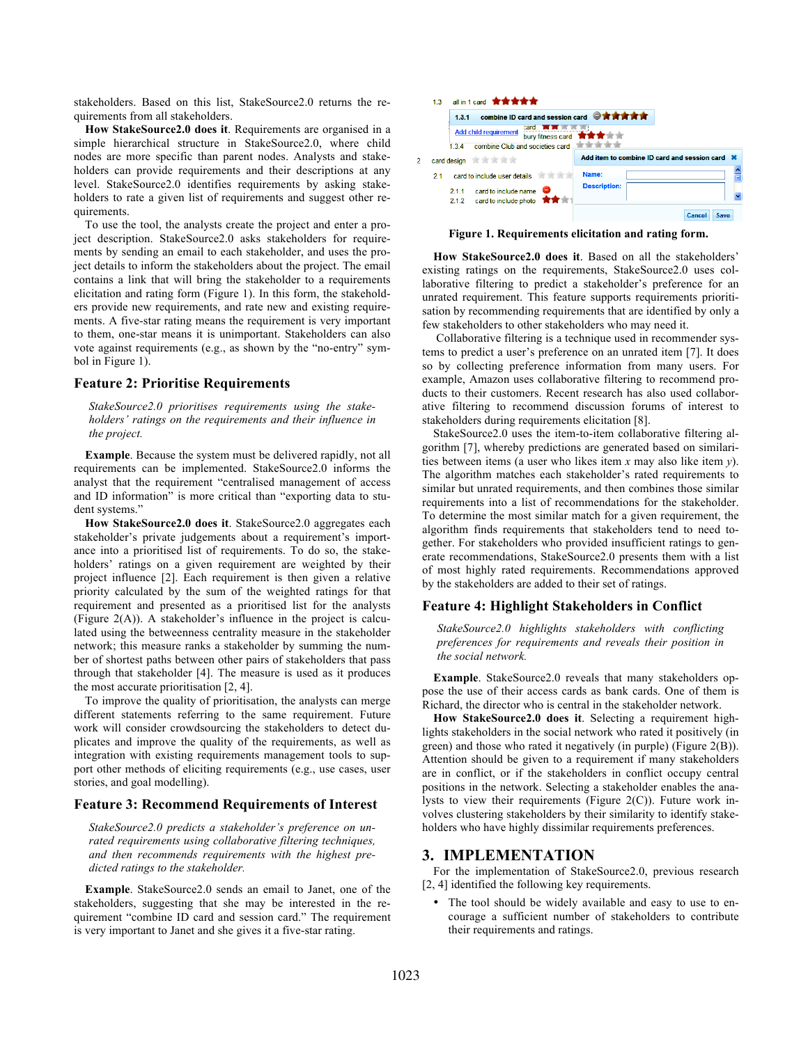stakeholders. Based on this list, StakeSource2.0 returns the requirements from all stakeholders.

**How StakeSource2.0 does it**. Requirements are organised in a simple hierarchical structure in StakeSource2.0, where child nodes are more specific than parent nodes. Analysts and stakeholders can provide requirements and their descriptions at any level. StakeSource2.0 identifies requirements by asking stakeholders to rate a given list of requirements and suggest other requirements.

To use the tool, the analysts create the project and enter a project description. StakeSource2.0 asks stakeholders for requirements by sending an email to each stakeholder, and uses the project details to inform the stakeholders about the project. The email contains a link that will bring the stakeholder to a requirements elicitation and rating form (Figure 1). In this form, the stakeholders provide new requirements, and rate new and existing requirements. A five-star rating means the requirement is very important to them, one-star means it is unimportant. Stakeholders can also vote against requirements (e.g., as shown by the "no-entry" symbol in Figure 1).

#### **Feature 2: Prioritise Requirements**

*StakeSource2.0 prioritises requirements using the stakeholders' ratings on the requirements and their influence in the project.*

**Example**. Because the system must be delivered rapidly, not all requirements can be implemented. StakeSource2.0 informs the analyst that the requirement "centralised management of access and ID information" is more critical than "exporting data to student systems."

**How StakeSource2.0 does it**. StakeSource2.0 aggregates each stakeholder's private judgements about a requirement's importance into a prioritised list of requirements. To do so, the stakeholders' ratings on a given requirement are weighted by their project influence [2]. Each requirement is then given a relative priority calculated by the sum of the weighted ratings for that requirement and presented as a prioritised list for the analysts (Figure 2(A)). A stakeholder's influence in the project is calculated using the betweenness centrality measure in the stakeholder network; this measure ranks a stakeholder by summing the number of shortest paths between other pairs of stakeholders that pass through that stakeholder [4]. The measure is used as it produces the most accurate prioritisation [2, 4].

To improve the quality of prioritisation, the analysts can merge different statements referring to the same requirement. Future work will consider crowdsourcing the stakeholders to detect duplicates and improve the quality of the requirements, as well as integration with existing requirements management tools to support other methods of eliciting requirements (e.g., use cases, user stories, and goal modelling).

#### **Feature 3: Recommend Requirements of Interest**

*StakeSource2.0 predicts a stakeholder's preference on unrated requirements using collaborative filtering techniques, and then recommends requirements with the highest predicted ratings to the stakeholder.*

**Example**. StakeSource2.0 sends an email to Janet, one of the stakeholders, suggesting that she may be interested in the requirement "combine ID card and session card." The requirement is very important to Janet and she gives it a five-star rating.



**Figure 1. Requirements elicitation and rating form.**

**How StakeSource2.0 does it**. Based on all the stakeholders' existing ratings on the requirements, StakeSource2.0 uses collaborative filtering to predict a stakeholder's preference for an unrated requirement. This feature supports requirements prioritisation by recommending requirements that are identified by only a few stakeholders to other stakeholders who may need it.

Collaborative filtering is a technique used in recommender systems to predict a user's preference on an unrated item [7]. It does so by collecting preference information from many users. For example, Amazon uses collaborative filtering to recommend products to their customers. Recent research has also used collaborative filtering to recommend discussion forums of interest to stakeholders during requirements elicitation [8].

StakeSource2.0 uses the item-to-item collaborative filtering algorithm [7], whereby predictions are generated based on similarities between items (a user who likes item *x* may also like item *y*). The algorithm matches each stakeholder's rated requirements to similar but unrated requirements, and then combines those similar requirements into a list of recommendations for the stakeholder. To determine the most similar match for a given requirement, the algorithm finds requirements that stakeholders tend to need together. For stakeholders who provided insufficient ratings to generate recommendations, StakeSource2.0 presents them with a list of most highly rated requirements. Recommendations approved by the stakeholders are added to their set of ratings.

#### **Feature 4: Highlight Stakeholders in Conflict**

*StakeSource2.0 highlights stakeholders with conflicting preferences for requirements and reveals their position in the social network.*

**Example**. StakeSource2.0 reveals that many stakeholders oppose the use of their access cards as bank cards. One of them is Richard, the director who is central in the stakeholder network.

**How StakeSource2.0 does it**. Selecting a requirement highlights stakeholders in the social network who rated it positively (in green) and those who rated it negatively (in purple) (Figure 2(B)). Attention should be given to a requirement if many stakeholders are in conflict, or if the stakeholders in conflict occupy central positions in the network. Selecting a stakeholder enables the analysts to view their requirements (Figure 2(C)). Future work involves clustering stakeholders by their similarity to identify stakeholders who have highly dissimilar requirements preferences.

#### **3. IMPLEMENTATION**

For the implementation of StakeSource2.0, previous research [2, 4] identified the following key requirements.

The tool should be widely available and easy to use to encourage a sufficient number of stakeholders to contribute their requirements and ratings.